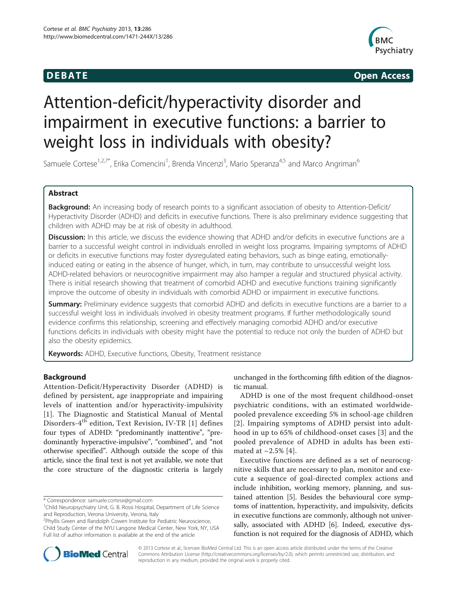

**DEBATE CONSIDERENT CONSIDERED ACCESS** 

# Attention-deficit/hyperactivity disorder and impairment in executive functions: a barrier to weight loss in individuals with obesity?

Samuele Cortese<sup>1,2,7\*</sup>, Erika Comencini<sup>1</sup>, Brenda Vincenzi<sup>3</sup>, Mario Speranza<sup>4,5</sup> and Marco Angriman<sup>6</sup>

# Abstract

Background: An increasing body of research points to a significant association of obesity to Attention-Deficit/ Hyperactivity Disorder (ADHD) and deficits in executive functions. There is also preliminary evidence suggesting that children with ADHD may be at risk of obesity in adulthood.

**Discussion:** In this article, we discuss the evidence showing that ADHD and/or deficits in executive functions are a barrier to a successful weight control in individuals enrolled in weight loss programs. Impairing symptoms of ADHD or deficits in executive functions may foster dysregulated eating behaviors, such as binge eating, emotionallyinduced eating or eating in the absence of hunger, which, in turn, may contribute to unsuccessful weight loss. ADHD-related behaviors or neurocognitive impairment may also hamper a regular and structured physical activity. There is initial research showing that treatment of comorbid ADHD and executive functions training significantly improve the outcome of obesity in individuals with comorbid ADHD or impairment in executive functions.

**Summary:** Preliminary evidence suggests that comorbid ADHD and deficits in executive functions are a barrier to a successful weight loss in individuals involved in obesity treatment programs. If further methodologically sound evidence confirms this relationship, screening and effectively managing comorbid ADHD and/or executive functions deficits in individuals with obesity might have the potential to reduce not only the burden of ADHD but also the obesity epidemics.

Keywords: ADHD, Executive functions, Obesity, Treatment resistance

# Background

Attention-Deficit/Hyperactivity Disorder (ADHD) is defined by persistent, age inappropriate and impairing levels of inattention and/or hyperactivity-impulsivity [[1](#page-5-0)]. The Diagnostic and Statistical Manual of Mental Disorders-4th edition, Text Revision, IV-TR [[1](#page-5-0)] defines four types of ADHD: "predominantly inattentive", "predominantly hyperactive-impulsive", "combined", and "not otherwise specified". Although outside the scope of this article, since the final text is not yet available, we note that the core structure of the diagnostic criteria is largely

\* Correspondence: [samuele.cortese@gmail.com](mailto:samuele.cortese@gmail.com) <sup>1</sup>

<sup>2</sup> Phyllis Green and Randolph Cowen Institute for Pediatric Neuroscience, Child Study Center of the NYU Langone Medical Center, New York, NY, USA Full list of author information is available at the end of the article

unchanged in the forthcoming fifth edition of the diagnostic manual.

ADHD is one of the most frequent childhood-onset psychiatric conditions, with an estimated worldwidepooled prevalence exceeding 5% in school-age children [[2](#page-5-0)]. Impairing symptoms of ADHD persist into adulthood in up to 65% of childhood-onset cases [[3\]](#page-5-0) and the pooled prevalence of ADHD in adults has been estimated at  $\sim$  2.5% [\[4](#page-5-0)].

Executive functions are defined as a set of neurocognitive skills that are necessary to plan, monitor and execute a sequence of goal-directed complex actions and include inhibition, working memory, planning, and sustained attention [\[5\]](#page-5-0). Besides the behavioural core symptoms of inattention, hyperactivity, and impulsivity, deficits in executive functions are commonly, although not universally, associated with ADHD [[6](#page-5-0)]. Indeed, executive dysfunction is not required for the diagnosis of ADHD, which



© 2013 Cortese et al.; licensee BioMed Central Ltd. This is an open access article distributed under the terms of the Creative Commons Attribution License [\(http://creativecommons.org/licenses/by/2.0\)](http://creativecommons.org/licenses/by/2.0), which permits unrestricted use, distribution, and reproduction in any medium, provided the original work is properly cited.

<sup>&</sup>lt;sup>1</sup>Child Neuropsychiatry Unit, G. B. Rossi Hospital, Department of Life Science and Reproduction, Verona University, Verona, Italy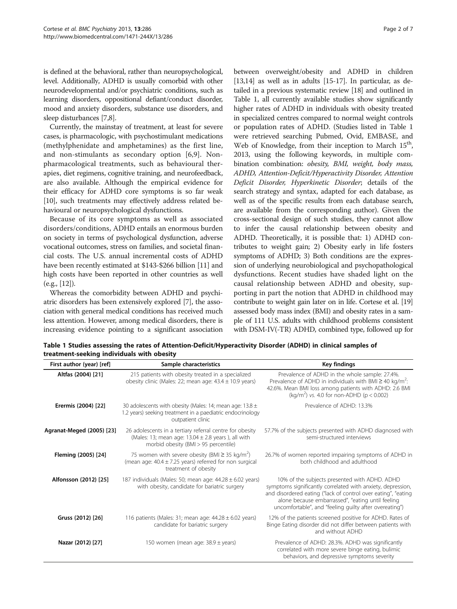is defined at the behavioral, rather than neuropsychological, level. Additionally, ADHD is usually comorbid with other neurodevelopmental and/or psychiatric conditions, such as learning disorders, oppositional defiant/conduct disorder, mood and anxiety disorders, substance use disorders, and sleep disturbances [\[7,8\]](#page-5-0).

Currently, the mainstay of treatment, at least for severe cases, is pharmacologic, with psychostimulant medications (methylphenidate and amphetamines) as the first line, and non-stimulants as secondary option [[6,9](#page-5-0)]. Nonpharmacological treatments, such as behavioural therapies, diet regimens, cognitive training, and neurofeedback, are also available. Although the empirical evidence for their efficacy for ADHD core symptoms is so far weak [[10](#page-5-0)], such treatments may effectively address related behavioural or neuropsychological dysfunctions.

Because of its core symptoms as well as associated disorders/conditions, ADHD entails an enormous burden on society in terms of psychological dysfunction, adverse vocational outcomes, stress on families, and societal financial costs. The U.S. annual incremental costs of ADHD have been recently estimated at \$143-\$266 billion [\[11](#page-5-0)] and high costs have been reported in other countries as well (e.g., [[12](#page-5-0)]).

Whereas the comorbidity between ADHD and psychiatric disorders has been extensively explored [[7\]](#page-5-0), the association with general medical conditions has received much less attention. However, among medical disorders, there is increasing evidence pointing to a significant association between overweight/obesity and ADHD in children [[13,14](#page-5-0)] as well as in adults [[15](#page-5-0)-[17](#page-5-0)]. In particular, as detailed in a previous systematic review [\[18\]](#page-5-0) and outlined in Table 1, all currently available studies show significantly higher rates of ADHD in individuals with obesity treated in specialized centres compared to normal weight controls or population rates of ADHD. (Studies listed in Table 1 were retrieved searching Pubmed, Ovid, EMBASE, and Web of Knowledge, from their inception to March 15<sup>th</sup>, 2013, using the following keywords, in multiple combination combination: obesity, BMI, weight, body mass, ADHD, Attention-Deficit/Hyperactivity Disorder, Attention Deficit Disorder, Hyperkinetic Disorder; details of the search strategy and syntax, adapted for each database, as well as of the specific results from each database search, are available from the corresponding author). Given the cross-sectional design of such studies, they cannot allow to infer the causal relationship between obesity and ADHD. Theoretically, it is possible that: 1) ADHD contributes to weight gain; 2) Obesity early in life fosters symptoms of ADHD; 3) Both conditions are the expression of underlying neurobiological and psychopathological dysfunctions. Recent studies have shaded light on the causal relationship between ADHD and obesity, supporting in part the notion that ADHD in childhood may contribute to weight gain later on in life. Cortese et al. [\[19](#page-5-0)] assessed body mass index (BMI) and obesity rates in a sample of 111 U.S. adults with childhood problems consistent with DSM-IV(-TR) ADHD, combined type, followed up for

| First author (year) [ref] | Sample characteristics                                                                                                                                     | <b>Key findings</b>                                                                                                                                                                                                                                                                          |
|---------------------------|------------------------------------------------------------------------------------------------------------------------------------------------------------|----------------------------------------------------------------------------------------------------------------------------------------------------------------------------------------------------------------------------------------------------------------------------------------------|
| Altfas (2004) [21]        | 215 patients with obesity treated in a specialized<br>obesity clinic (Males: 22; mean age: $43.4 \pm 10.9$ years)                                          | Prevalence of ADHD in the whole sample: 27.4%.<br>Prevalence of ADHD in individuals with BMI $\geq$ 40 kg/m <sup>2</sup> :<br>42.6%. Mean BMI loss among patients with ADHD: 2.6 BMI<br>(kg/m <sup>2</sup> ) vs. 4.0 for non-ADHD ( $p < 0.002$ )                                            |
| Erermis (2004) [22]       | 30 adolescents with obesity (Males: 14; mean age: 13.8 $\pm$<br>1.2 years) seeking treatment in a paediatric endocrinology<br>outpatient clinic            | Prevalence of ADHD: 13.3%                                                                                                                                                                                                                                                                    |
| Agranat-Meged (2005) [23] | 26 adolescents in a tertiary referral centre for obesity<br>(Males: 13; mean age: $13.04 \pm 2.8$ years), all with<br>morbid obesity (BMI > 95 percentile) | 57.7% of the subjects presented with ADHD diagnosed with<br>semi-structured interviews                                                                                                                                                                                                       |
| Fleming (2005) [24]       | 75 women with severe obesity (BMI $\geq$ 35 kg/m <sup>2</sup> )<br>(mean age: $40.4 \pm 7.25$ years) referred for non surgical<br>treatment of obesity     | 26.7% of women reported impairing symptoms of ADHD in<br>both childhood and adulthood                                                                                                                                                                                                        |
| Alfonsson (2012) [25]     | 187 individuals (Males: 50; mean age: $44.28 \pm 6.02$ years)<br>with obesity, candidate for bariatric surgery                                             | 10% of the subjects presented with ADHD. ADHD<br>symptoms significantly correlated with anxiety, depression,<br>and disordered eating ("lack of control over eating", "eating<br>alone because embarrassed", "eating until feeling<br>uncomfortable", and "feeling guilty after overeating") |
| Gruss (2012) [26]         | 116 patients (Males: 31; mean age: $44.28 \pm 6.02$ years)<br>candidate for bariatric surgery                                                              | 12% of the patients screened positive for ADHD. Rates of<br>Binge Eating disorder did not differ between patients with<br>and without ADHD                                                                                                                                                   |
| Nazar (2012) [27]         | 150 women (mean age: $38.9 \pm \text{years}$ )                                                                                                             | Prevalence of ADHD: 28.3%. ADHD was significantly<br>correlated with more severe binge eating, bulimic<br>behaviors, and depressive symptoms severity                                                                                                                                        |

Table 1 Studies assessing the rates of Attention-Deficit/Hyperactivity Disorder (ADHD) in clinical samples of treatment-seeking individuals with obesity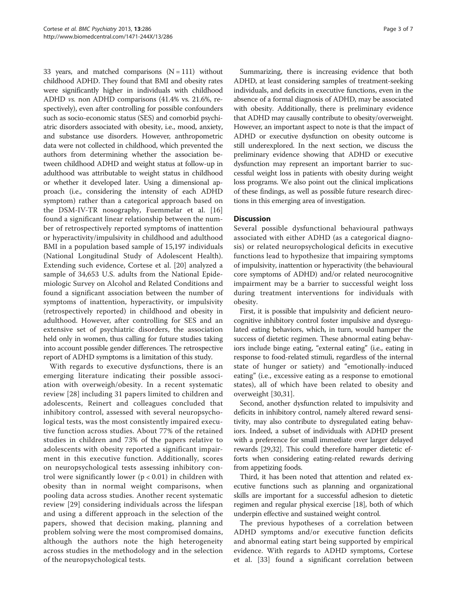33 years, and matched comparisons  $(N = 111)$  without childhood ADHD. They found that BMI and obesity rates were significantly higher in individuals with childhood ADHD vs. non ADHD comparisons (41.4% vs. 21.6%, respectively), even after controlling for possible confounders such as socio-economic status (SES) and comorbid psychiatric disorders associated with obesity, i.e., mood, anxiety, and substance use disorders. However, anthropometric data were not collected in childhood, which prevented the authors from determining whether the association between childhood ADHD and weight status at follow-up in adulthood was attributable to weight status in childhood or whether it developed later. Using a dimensional approach (i.e., considering the intensity of each ADHD symptom) rather than a categorical approach based on the DSM-IV-TR nosography, Fuemmelar et al. [\[16](#page-5-0)] found a significant linear relationship between the number of retrospectively reported symptoms of inattention or hyperactivity/impulsivity in childhood and adulthood BMI in a population based sample of 15,197 individuals (National Longitudinal Study of Adolescent Health). Extending such evidence, Cortese et al. [[20\]](#page-5-0) analyzed a sample of 34,653 U.S. adults from the National Epidemiologic Survey on Alcohol and Related Conditions and found a significant association between the number of symptoms of inattention, hyperactivity, or impulsivity (retrospectively reported) in childhood and obesity in adulthood. However, after controlling for SES and an extensive set of psychiatric disorders, the association held only in women, thus calling for future studies taking into account possible gender differences. The retrospective report of ADHD symptoms is a limitation of this study.

With regards to executive dysfunctions, there is an emerging literature indicating their possible association with overweigh/obesity. In a recent systematic review [\[28\]](#page-5-0) including 31 papers limited to children and adolescents, Reinert and colleagues concluded that inhibitory control, assessed with several neuropsychological tests, was the most consistently impaired executive function across studies. About 77% of the retained studies in children and 73% of the papers relative to adolescents with obesity reported a significant impairment in this executive function. Additionally, scores on neuropsychological tests assessing inhibitory control were significantly lower ( $p < 0.01$ ) in children with obesity than in normal weight comparisons, when pooling data across studies. Another recent systematic review [\[29](#page-6-0)] considering individuals across the lifespan and using a different approach in the selection of the papers, showed that decision making, planning and problem solving were the most compromised domains, although the authors note the high heterogeneity across studies in the methodology and in the selection of the neuropsychological tests.

Summarizing, there is increasing evidence that both ADHD, at least considering samples of treatment-seeking individuals, and deficits in executive functions, even in the absence of a formal diagnosis of ADHD, may be associated with obesity. Additionally, there is preliminary evidence that ADHD may causally contribute to obesity/overweight. However, an important aspect to note is that the impact of ADHD or executive dysfunction on obesity outcome is still underexplored. In the next section, we discuss the preliminary evidence showing that ADHD or executive dysfunction may represent an important barrier to successful weight loss in patients with obesity during weight loss programs. We also point out the clinical implications of these findings, as well as possible future research directions in this emerging area of investigation.

# **Discussion**

Several possible dysfunctional behavioural pathways associated with either ADHD (as a categorical diagnosis) or related neuropsychological deficits in executive functions lead to hypothesize that impairing symptoms of impulsivity, inattention or hyperactivity (the behavioural core symptoms of ADHD) and/or related neurocognitive impairment may be a barrier to successful weight loss during treatment interventions for individuals with obesity.

First, it is possible that impulsivity and deficient neurocognitive inhibitory control foster impulsive and dysregulated eating behaviors, which, in turn, would hamper the success of dietetic regimen. These abnormal eating behaviors include binge eating, "external eating" (i.e., eating in response to food-related stimuli, regardless of the internal state of hunger or satiety) and "emotionally-induced eating" (i.e., excessive eating as a response to emotional states), all of which have been related to obesity and overweight [\[30](#page-6-0),[31\]](#page-6-0).

Second, another dysfunction related to impulsivity and deficits in inhibitory control, namely altered reward sensitivity, may also contribute to dysregulated eating behaviors. Indeed, a subset of individuals with ADHD present with a preference for small immediate over larger delayed rewards [\[29,32](#page-6-0)]. This could therefore hamper dietetic efforts when considering eating-related rewards deriving from appetizing foods.

Third, it has been noted that attention and related executive functions such as planning and organizational skills are important for a successful adhesion to dietetic regimen and regular physical exercise [[18](#page-5-0)], both of which underpin effective and sustained weight control.

The previous hypotheses of a correlation between ADHD symptoms and/or executive function deficits and abnormal eating start being supported by empirical evidence. With regards to ADHD symptoms, Cortese et al. [[33\]](#page-6-0) found a significant correlation between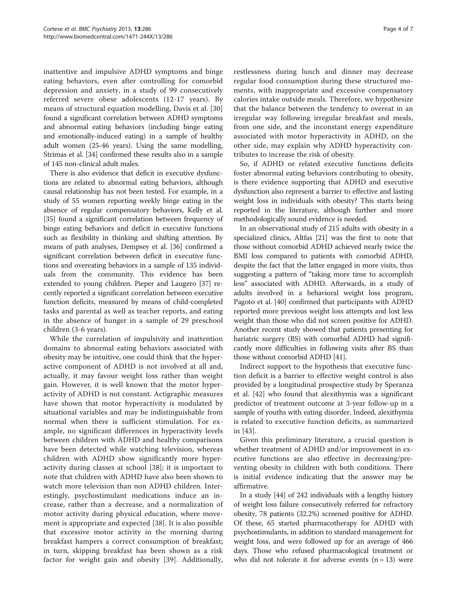inattentive and impulsive ADHD symptoms and binge eating behaviors, even after controlling for comorbid depression and anxiety, in a study of 99 consecutively referred severe obese adolescents (12-17 years). By means of structural equation modelling, Davis et al. [\[30](#page-6-0)] found a significant correlation between ADHD symptoms and abnormal eating behaviors (including binge eating and emotionally-induced eating) in a sample of healthy adult women (25-46 years). Using the same modelling, Strimas et al. [[34](#page-6-0)] confirmed these results also in a sample of 145 non-clinical adult males.

There is also evidence that deficit in executive dysfunctions are related to abnormal eating behaviors, although causal relationship has not been tested. For example, in a study of 55 women reporting weekly binge eating in the absence of regular compensatory behaviors, Kelly et al. [[35](#page-6-0)] found a significant correlation between frequency of binge eating behaviors and deficit in executive functions such as flexibility in thinking and shifting attention. By means of path analyses, Dempsey et al. [\[36\]](#page-6-0) confirmed a significant correlation between deficit in executive functions and overeating behaviors in a sample of 135 individuals from the community. This evidence has been extended to young children. Pieper and Laugero [[37](#page-6-0)] recently reported a significant correlation between executive function deficits, measured by means of child-completed tasks and parental as well as teacher reports, and eating in the absence of hunger in a sample of 29 preschool children (3-6 years).

While the correlation of impulsivity and inattention domains to abnormal eating behaviors associated with obesity may be intuitive, one could think that the hyperactive component of ADHD is not involved at all and, actually, it may favour weight loss rather than weight gain. However, it is well known that the motor hyperactivity of ADHD is not constant. Actigraphic measures have shown that motor hyperactivity is modulated by situational variables and may be indistinguishable from normal when there is sufficient stimulation. For example, no significant differences in hyperactivity levels between children with ADHD and healthy comparisons have been detected while watching television, whereas children with ADHD show significantly more hyperactivity during classes at school [[38](#page-6-0)]; it is important to note that children with ADHD have also been shown to watch more television than non ADHD children. Interestingly, psychostimulant medications induce an increase, rather than a decrease, and a normalization of motor activity during physical education, where movement is appropriate and expected [[38\]](#page-6-0). It is also possible that excessive motor activity in the morning during breakfast hampers a correct consumption of breakfast; in turn, skipping breakfast has been shown as a risk factor for weight gain and obesity [\[39](#page-6-0)]. Additionally,

restlessness during lunch and dinner may decrease regular food consumption during these structured moments, with inappropriate and excessive compensatory calories intake outside meals. Therefore, we hypothesize that the balance between the tendency to overeat in an irregular way following irregular breakfast and meals, from one side, and the inconstant energy expenditure associated with motor hyperactivity in ADHD, on the other side, may explain why ADHD hyperactivity contributes to increase the risk of obesity.

So, if ADHD or related executive functions deficits foster abnormal eating behaviors contributing to obesity, is there evidence supporting that ADHD and executive dysfunction also represent a barrier to effective and lasting weight loss in individuals with obesity? This starts being reported in the literature, although further and more methodologically sound evidence is needed.

In an observational study of 215 adults with obesity in a specialized clinics, Altfas [\[21](#page-5-0)] was the first to note that those without comorbid ADHD achieved nearly twice the BMI loss compared to patients with comorbid ADHD, despite the fact that the latter engaged in more visits, thus suggesting a pattern of "taking more time to accomplish less" associated with ADHD. Afterwards, in a study of adults involved in a behavioral weight loss program, Pagoto et al. [[40](#page-6-0)] confirmed that participants with ADHD reported more previous weight loss attempts and lost less weight than those who did not screen positive for ADHD. Another recent study showed that patients presenting for bariatric surgery (BS) with comorbid ADHD had significantly more difficulties in following visits after BS than those without comorbid ADHD [\[41](#page-6-0)].

Indirect support to the hypothesis that executive function deficit is a barrier to effective weight control is also provided by a longitudinal prospective study by Speranza et al. [\[42](#page-6-0)] who found that alexithymia was a significant predictor of treatment outcome at 3-year follow-up in a sample of youths with eating disorder. Indeed, alexithymia is related to executive function deficits, as summarized in [[43\]](#page-6-0).

Given this preliminary literature, a crucial question is whether treatment of ADHD and/or improvement in executive functions are also effective in decreasing/preventing obesity in children with both conditions. There is initial evidence indicating that the answer may be affirmative.

In a study [[44](#page-6-0)] of 242 individuals with a lengthy history of weight loss failure consecutively referred for refractory obesity, 78 patients (32.2%) screened positive for ADHD. Of these, 65 started pharmacotherapy for ADHD with psychostimulants, in addition to standard management for weight loss, and were followed up for an average of 466 days. Those who refused pharmacological treatment or who did not tolerate it for adverse events  $(n = 13)$  were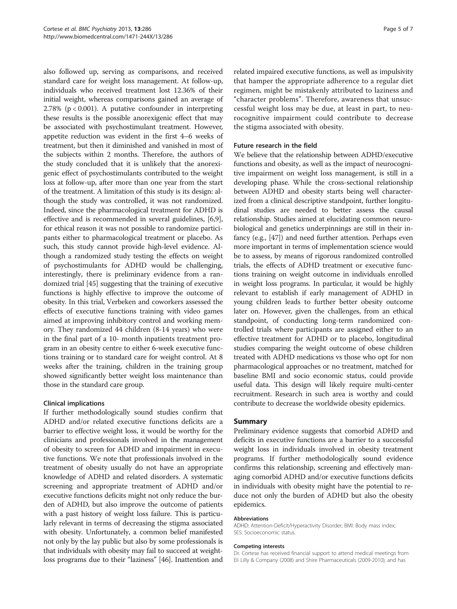also followed up, serving as comparisons, and received standard care for weight loss management. At follow-up, individuals who received treatment lost 12.36% of their initial weight, whereas comparisons gained an average of 2.78% ( $p < 0.001$ ). A putative confounder in interpreting these results is the possible anorexigenic effect that may be associated with psychostimulant treatment. However, appetite reduction was evident in the first 4–6 weeks of treatment, but then it diminished and vanished in most of the subjects within 2 months. Therefore, the authors of the study concluded that it is unlikely that the anorexigenic effect of psychostimulants contributed to the weight loss at follow-up, after more than one year from the start of the treatment. A limitation of this study is its design: although the study was controlled, it was not randomized. Indeed, since the pharmacological treatment for ADHD is effective and is recommended in several guidelines, [[6](#page-5-0),[9](#page-5-0)], for ethical reason it was not possible to randomize participants either to pharmacological treatment or placebo. As such, this study cannot provide high-level evidence. Although a randomized study testing the effects on weight of psychostimulants for ADHD would be challenging, interestingly, there is preliminary evidence from a randomized trial [\[45](#page-6-0)] suggesting that the training of executive functions is highly effective to improve the outcome of obesity. In this trial, Verbeken and coworkers assessed the effects of executive functions training with video games aimed at improving inhibitory control and working memory. They randomized 44 children (8-14 years) who were in the final part of a 10- month inpatients treatment program in an obesity centre to either 6-week executive functions training or to standard care for weight control. At 8 weeks after the training, children in the training group showed significantly better weight loss maintenance than those in the standard care group.

# Clinical implications

If further methodologically sound studies confirm that ADHD and/or related executive functions deficits are a barrier to effective weight loss, it would be worthy for the clinicians and professionals involved in the management of obesity to screen for ADHD and impairment in executive functions. We note that professionals involved in the treatment of obesity usually do not have an appropriate knowledge of ADHD and related disorders. A systematic screening and appropriate treatment of ADHD and/or executive functions deficits might not only reduce the burden of ADHD, but also improve the outcome of patients with a past history of weight loss failure. This is particularly relevant in terms of decreasing the stigma associated with obesity. Unfortunately, a common belief manifested not only by the lay public but also by some professionals is that individuals with obesity may fail to succeed at weightloss programs due to their "laziness" [\[46\]](#page-6-0). Inattention and related impaired executive functions, as well as impulsivity that hamper the appropriate adherence to a regular diet regimen, might be mistakenly attributed to laziness and "character problems". Therefore, awareness that unsuccessful weight loss may be due, at least in part, to neurocognitive impairment could contribute to decrease the stigma associated with obesity.

# Future research in the field

We believe that the relationship between ADHD/executive functions and obesity, as well as the impact of neurocognitive impairment on weight loss management, is still in a developing phase. While the cross-sectional relationship between ADHD and obesity starts being well characterized from a clinical descriptive standpoint, further longitudinal studies are needed to better assess the causal relationship. Studies aimed at elucidating common neurobiological and genetics underpinnings are still in their infancy (e.g., [\[47](#page-6-0)]) and need further attention. Perhaps even more important in terms of implementation science would be to assess, by means of rigorous randomized controlled trials, the effects of ADHD treatment or executive functions training on weight outcome in individuals enrolled in weight loss programs. In particular, it would be highly relevant to establish if early management of ADHD in young children leads to further better obesity outcome later on. However, given the challenges, from an ethical standpoint, of conducting long-term randomized controlled trials where participants are assigned either to an effective treatment for ADHD or to placebo, longitudinal studies comparing the weight outcome of obese children treated with ADHD medications vs those who opt for non pharmacological approaches or no treatment, matched for baseline BMI and socio economic status, could provide useful data. This design will likely require multi-center recruitment. Research in such area is worthy and could contribute to decrease the worldwide obesity epidemics.

# Summary

Preliminary evidence suggests that comorbid ADHD and deficits in executive functions are a barrier to a successful weight loss in individuals involved in obesity treatment programs. If further methodologically sound evidence confirms this relationship, screening and effectively managing comorbid ADHD and/or executive functions deficits in individuals with obesity might have the potential to reduce not only the burden of ADHD but also the obesity epidemics.

### Abbreviations

ADHD: Attention-Deficit/Hyperactivity Disorder; BMI: Body mass index; SES: Socioeconomic status.

### Competing interests

Dr. Cortese has received financial support to attend medical meetings from Eli Lilly & Company (2008) and Shire Pharmaceuticals (2009-2010), and has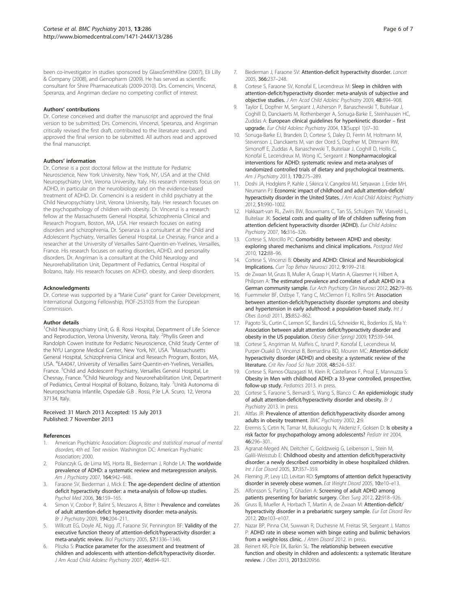<span id="page-5-0"></span>been co-investigator in studies sponsored by GlaxoSmithKline (2007), Eli Lilly & Company (2008), and Genopharm (2009). He has served as scientific consultant for Shire Pharmaceuticals (2009-2010). Drs. Comencini, Vincenzi, Speranza, and Angriman declare no competing conflict of interest.

#### Authors' contributions

Dr. Cortese conceived and drafter the manuscript and approved the final version to be submitted; Drs. Comencini, Vincenzi, Speranza, and Angriman critically revised the first draft, contributed to the literature search, and approved the final version to be submitted. All authors read and approved the final manuscript.

#### Authors' information

Dr. Cortese is a post doctoral fellow at the Institute for Pediatric Neuroscience, New York University, New York, NY, USA and at the Child Neuropsychiatry Unit, Verona University, Italy. His research interests focus on ADHD, in particular on the neurobiology and on the evidence-based treatment of ADHD. Dr. Comencini is a resident in child psychiatry at the Child Neuropsychiatry Unit, Verona University, Italy. Her research focuses on the psychopathology of children with obesity. Dr. Vincenzi is a research fellow at the Massachusetts General Hospital, Schizophrenia Clinical and Research Program, Boston, MA, USA. Her research focuses on eating disorders and schizophrenia. Dr. Speranza is a consultant at the Child and Adolescent Psychiatry, Versailles General Hospital. Le Chesnay, France and a researcher at the University of Versailles Saint-Quentin-en-Yvelines, Versailles, France. His research focuses on eating disorders, ADHD, and personality disorders. Dr. Angriman is a consultant at the Child Neurology and Neurorehabilitation Unit, Department of Pediatrics, Central Hospital of Bolzano, Italy. His research focuses on ADHD, obesity, and sleep disorders.

#### Acknowledgments

Dr. Cortese was supported by a "Marie Curie" grant for Career Development, International Outgoing Fellowship, PIOF-253103 from the European Commission.

#### Author details

<sup>1</sup>Child Neuropsychiatry Unit, G. B. Rossi Hospital, Department of Life Science and Reproduction, Verona University, Verona, Italy. <sup>2</sup>Phyllis Green and Randolph Cowen Institute for Pediatric Neuroscience, Child Study Center of the NYU Langone Medical Center, New York, NY, USA. <sup>3</sup>Massachusetts General Hospital, Schizophrenia Clinical and Research Program, Boston, MA, USA. <sup>4</sup>EA4047, University of Versailles Saint-Quentin-en-Yvelines, Versailles, France. <sup>5</sup>Child and Adolescent Psychiatry, Versailles General Hospital, Le Chesnay, France. <sup>6</sup>Child Neurology and Neurorehabilitation Unit, Department of Pediatrics, Central Hospital of Bolzano, Bolzano, Italy. <sup>7</sup>Unità Autonoma di Neuropsichiatria Infantile, Ospedale G.B . Rossi, P.le L.A. Scuro, 12, Verona 37134, Italy.

#### Received: 31 March 2013 Accepted: 15 July 2013 Published: 7 November 2013

#### References

- 1. American Psychiatric Association: Diagnostic and statistical manual of mental disorders, 4th ed. Text revision. Washington DC: American Psychiatric Association; 2000.
- 2. Polanczyk G, de Lima MS, Horta BL, Biederman J, Rohde LA: The worldwide prevalence of ADHD: a systematic review and metaregression analysis. Am J Psychiatry 2007, 164:942–948.
- 3. Faraone SV, Biederman J, Mick E: The age-dependent decline of attention deficit hyperactivity disorder: a meta-analysis of follow-up studies. Psychol Med 2006, 36:159–165.
- 4. Simon V, Czobor P, Balint S, Meszaros A, Bitter I: Prevalence and correlates of adult attention-deficit hyperactivity disorder: meta-analysis. Br J Psychiatry 2009, 194:204–211.
- Willcutt EG, Doyle AE, Nigg JT, Faraone SV, Pennington BF: Validity of the executive function theory of attention-deficit/hyperactivity disorder: a meta-analytic review. Biol Psychiatry 2005, 57:1336–1346.
- 6. Pliszka S: Practice parameter for the assessment and treatment of children and adolescents with attention-deficit/hyperactivity disorder. J Am Acad Child Adolesc Psychiatry 2007, 46:894–921.
- 7. Biederman J, Faraone SV: Attention-deficit hyperactivity disorder. Lancet 2005, 366:237–248.
- 8. Cortese S, Faraone SV, Konofal E, Lecendreux M: Sleep in children with attention-deficit/hyperactivity disorder: meta-analysis of subjective and objective studies. J Am Acad Child Adolesc Psychiatry 2009, 48:894–908.
- 9. Taylor E, Dopfner M, Sergeant J, Asherson P, Banaschewski T, Buitelaar J, Coghill D, Danckaerts M, Rothenberger A, Sonuga-Barke E, Steinhausen HC, Zuddas A: European clinical guidelines for hyperkinetic disorder – first upgrade. Eur Child Adolesc Psychiatry 2004, 13(Suppl 1):I7–30.
- 10. Sonuga-Barke EJ, Brandeis D, Cortese S, Daley D, Ferrin M, Holtmann M, Stevenson J, Danckaerts M, van der Oord S, Dopfner M, Dittmann RW, Simonoff E, Zuddas A, Banaschewski T, Buitelaar J, Coghill D, Hollis C, Konofal E, Lecendreux M, Wong IC, Sergeant J: Nonpharmacological interventions for ADHD: systematic review and meta-analyses of randomized controlled trials of dietary and psychological treatments. Am J Psychiatry 2013, 170:275–289.
- 11. Doshi JA, Hodgkins P, Kahle J, Sikirica V, Cangelosi MJ, Setyawan J, Erder MH, Neumann PJ: Economic impact of childhood and adult attention-deficit/ hyperactivity disorder in the United States. J Am Acad Child Adolesc Psychiatry 2012, 51:990–1002.
- 12. Hakkaart-van RL, Zwirs BW, Bouwmans C, Tan SS, Schulpen TW, Vlasveld L, Buitelaar JK: Societal costs and quality of life of children suffering from attention deficient hyperactivity disorder (ADHD). Eur Child Adolesc Psychiatry 2007, 16:316–326.
- 13. Cortese S, Morcillo PC: Comorbidity between ADHD and obesity: exploring shared mechanisms and clinical implications. Postgrad Med 2010, 122:88–96.
- 14. Cortese S, Vincenzi B: Obesity and ADHD: Clinical and Neurobiological Implications. Curr Top Behav Neurosci 2012, 9:199–218.
- 15. de Zwaan M, Gruss B, Muller A, Graap H, Martin A, Glaesmer H, Hilbert A, Philipsen A: The estimated prevalence and correlates of adult ADHD in a German community sample. Eur Arch Psychiatry Clin Neurosci 2012, 262:79–86.
- 16. Fuemmeler BF, Ostbye T, Yang C, McClernon FJ, Kollins SH: Association between attention-deficit/hyperactivity disorder symptoms and obesity and hypertension in early adulthood: a population-based study. Int J Obes (Lond) 2011, 35:852–862.
- 17. Pagoto SL, Curtin C, Lemon SC, Bandini LG, Schneider KL, Bodenlos JS, Ma Y: Association between adult attention deficit/hyperactivity disorder and obesity in the US population. Obesity (Silver Spring) 2009, 17:539–544.
- 18. Cortese S, Angriman M, Maffeis C, Isnard P, Konofal E, Lecendreux M, Purper-Ouakil D, Vincenzi B, Bernardina BD, Mouren MC: Attention-deficit/ hyperactivity disorder (ADHD) and obesity: a systematic review of the literature. Crit Rev Food Sci Nutr 2008, 48:524–537.
- 19. Cortese S, Ramos-Olazagasti M, Klein R, Castellanos F, Proal E, Mannuzza S: Obesity in Men with childhood ADHD: a 33-year controlled, prospective, follow-up study. Pediatrics 2013. in press.
- 20. Cortese S, Faraone S, Bernardi S, Wang S, Blanco C: An epidemiologic study of adult attention-deficit/hyperactivity disorder and obesity. Br J Psychiatry 2013. in press.
- 21. Altfas JR: Prevalence of attention deficit/hyperactivity disorder among adults in obesity treatment. BMC Psychiatry 2002, 2:9.
- 22. Erermis S, Cetin N, Tamar M, Bukusoglu N, Akdeniz F, Goksen D: Is obesity a risk factor for psychopathology among adolescents? Pediatr Int 2004, 46:296–301.
- 23. Agranat-Meged AN, Deitcher C, Goldzweig G, Leibenson L, Stein M, Galili-Weisstub E: Childhood obesity and attention deficit/hyperactivity disorder: a newly described comorbidity in obese hospitalized children. Int J Eat Disord 2005, 37:357–359.
- 24. Fleming JP, Levy LD, Levitan RD: Symptoms of attention deficit hyperactivity disorder in severely obese women. Eat Weight Disord 2005, 10:e10–e13.
- 25. Alfonsson S, Parling T, Ghaderi A: Screening of adult ADHD among patients presenting for bariatric surgery. Obes Surg 2012, 22:918–926.
- 26. Gruss B, Mueller A, Horbach T, Martin A, de Zwaan M: Attention-deficit/ hyperactivity disorder in a prebariatric surgery sample. Eur Eat Disord Rev 2012, 20:e103–e107.
- 27. Nazar BP, Pinna CM, Suwwan R, Duchesne M, Freitas SR, Sergeant J, Mattos P: ADHD rate in obese women with binge eating and bulimic behaviors from a weight-loss clinic. J Atten Disord 2012. in press.
- 28. Reinert KR, Po'e EK, Barkin SL: The relationship between executive function and obesity in children and adolescents: a systematic literature review. J Obes 2013, 2013:820956.